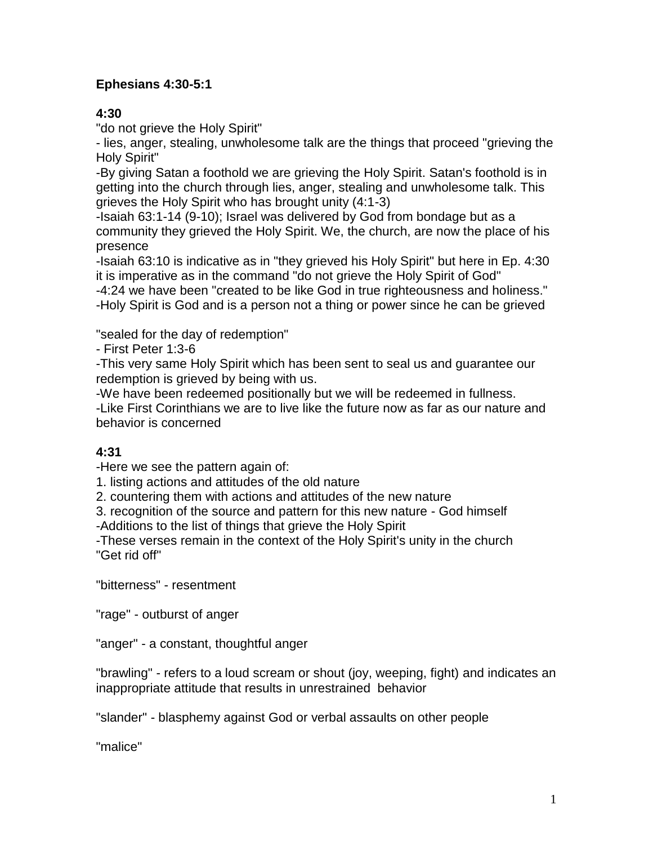### **Ephesians 4:30-5:1**

#### **4:30**

"do not grieve the Holy Spirit"

- lies, anger, stealing, unwholesome talk are the things that proceed "grieving the Holy Spirit"

-By giving Satan a foothold we are grieving the Holy Spirit. Satan's foothold is in getting into the church through lies, anger, stealing and unwholesome talk. This grieves the Holy Spirit who has brought unity (4:1-3)

-Isaiah 63:1-14 (9-10); Israel was delivered by God from bondage but as a community they grieved the Holy Spirit. We, the church, are now the place of his presence

-Isaiah 63:10 is indicative as in "they grieved his Holy Spirit" but here in Ep. 4:30 it is imperative as in the command "do not grieve the Holy Spirit of God"

-4:24 we have been "created to be like God in true righteousness and holiness." -Holy Spirit is God and is a person not a thing or power since he can be grieved

"sealed for the day of redemption"

- First Peter 1:3-6

-This very same Holy Spirit which has been sent to seal us and guarantee our redemption is grieved by being with us.

-We have been redeemed positionally but we will be redeemed in fullness.

-Like First Corinthians we are to live like the future now as far as our nature and behavior is concerned

## **4:31**

-Here we see the pattern again of:

1. listing actions and attitudes of the old nature

2. countering them with actions and attitudes of the new nature

3. recognition of the source and pattern for this new nature - God himself -Additions to the list of things that grieve the Holy Spirit

-These verses remain in the context of the Holy Spirit's unity in the church "Get rid off"

"bitterness" - resentment

"rage" - outburst of anger

"anger" - a constant, thoughtful anger

"brawling" - refers to a loud scream or shout (joy, weeping, fight) and indicates an inappropriate attitude that results in unrestrained behavior

"slander" - blasphemy against God or verbal assaults on other people

"malice"